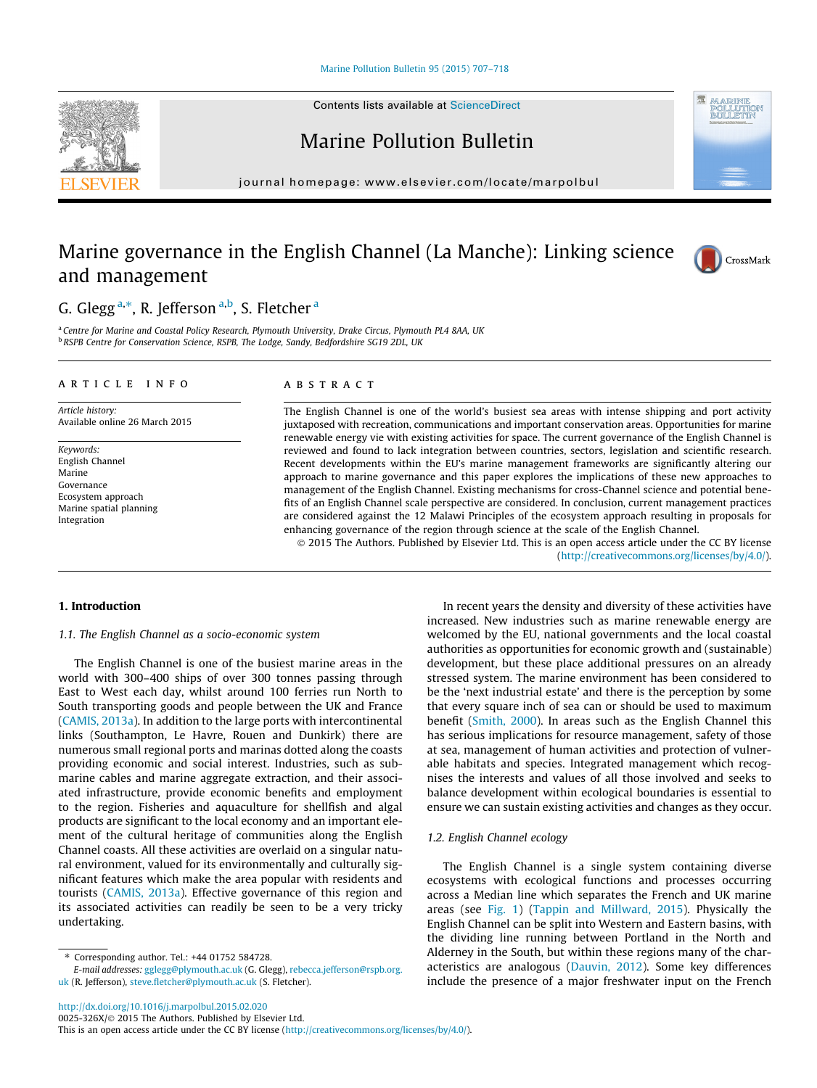#### [Marine Pollution Bulletin 95 \(2015\) 707–718](http://dx.doi.org/10.1016/j.marpolbul.2015.02.020)

Contents lists available at [ScienceDirect](http://www.sciencedirect.com/science/journal/0025326X)

# Marine Pollution Bulletin

journal homepage: [www.elsevier.com/locate/marpolbul](http://www.elsevier.com/locate/marpolbul)

# Marine governance in the English Channel (La Manche): Linking science and management



<sup>a</sup> Centre for Marine and Coastal Policy Research, Plymouth University, Drake Circus, Plymouth PL4 8AA, UK <sup>b</sup> RSPB Centre for Conservation Science, RSPB, The Lodge, Sandy, Bedfordshire SG19 2DL, UK

## article info

Article history: Available online 26 March 2015

Keywords: English Channel Marine Governance Ecosystem approach Marine spatial planning Integration

# **ABSTRACT**

The English Channel is one of the world's busiest sea areas with intense shipping and port activity juxtaposed with recreation, communications and important conservation areas. Opportunities for marine renewable energy vie with existing activities for space. The current governance of the English Channel is reviewed and found to lack integration between countries, sectors, legislation and scientific research. Recent developments within the EU's marine management frameworks are significantly altering our approach to marine governance and this paper explores the implications of these new approaches to management of the English Channel. Existing mechanisms for cross-Channel science and potential benefits of an English Channel scale perspective are considered. In conclusion, current management practices are considered against the 12 Malawi Principles of the ecosystem approach resulting in proposals for enhancing governance of the region through science at the scale of the English Channel.

© 2015 The Authors. Published by Elsevier Ltd. This is an open access article under the CC BY license [\(http://creativecommons.org/licenses/by/4.0/](http://creativecommons.org/licenses/by/4.0/)).

## 1. Introduction

#### 1.1. The English Channel as a socio-economic system

The English Channel is one of the busiest marine areas in the world with 300–400 ships of over 300 tonnes passing through East to West each day, whilst around 100 ferries run North to South transporting goods and people between the UK and France ([CAMIS, 2013a](#page-10-0)). In addition to the large ports with intercontinental links (Southampton, Le Havre, Rouen and Dunkirk) there are numerous small regional ports and marinas dotted along the coasts providing economic and social interest. Industries, such as submarine cables and marine aggregate extraction, and their associated infrastructure, provide economic benefits and employment to the region. Fisheries and aquaculture for shellfish and algal products are significant to the local economy and an important element of the cultural heritage of communities along the English Channel coasts. All these activities are overlaid on a singular natural environment, valued for its environmentally and culturally significant features which make the area popular with residents and tourists [\(CAMIS, 2013a\)](#page-10-0). Effective governance of this region and its associated activities can readily be seen to be a very tricky undertaking.

<http://dx.doi.org/10.1016/j.marpolbul.2015.02.020>

E-mail addresses: [gglegg@plymouth.ac.uk](mailto:gglegg@plymouth.ac.uk) (G. Glegg), [rebecca.jefferson@rspb.org.](mailto:rebecca.jefferson@rspb.org.uk) [uk](mailto:rebecca.jefferson@rspb.org.uk) (R. Jefferson), [steve.fletcher@plymouth.ac.uk](mailto:steve.fletcher@plymouth.ac.uk) (S. Fletcher).

increased. New industries such as marine renewable energy are welcomed by the EU, national governments and the local coastal authorities as opportunities for economic growth and (sustainable) development, but these place additional pressures on an already stressed system. The marine environment has been considered to be the 'next industrial estate' and there is the perception by some that every square inch of sea can or should be used to maximum benefit ([Smith, 2000](#page-11-0)). In areas such as the English Channel this has serious implications for resource management, safety of those at sea, management of human activities and protection of vulnerable habitats and species. Integrated management which recognises the interests and values of all those involved and seeks to balance development within ecological boundaries is essential to ensure we can sustain existing activities and changes as they occur.

In recent years the density and diversity of these activities have

# 1.2. English Channel ecology

The English Channel is a single system containing diverse ecosystems with ecological functions and processes occurring across a Median line which separates the French and UK marine areas (see [Fig. 1](#page-1-0)) ([Tappin and Millward, 2015](#page-11-0)). Physically the English Channel can be split into Western and Eastern basins, with the dividing line running between Portland in the North and Alderney in the South, but within these regions many of the characteristics are analogous [\(Dauvin, 2012\)](#page-10-0). Some key differences include the presence of a major freshwater input on the French

<span id="page-0-0"></span>



**AR A TO TENTS** POLLUTIK<br>BULLETIR

<sup>⇑</sup> Corresponding author. Tel.: +44 01752 584728.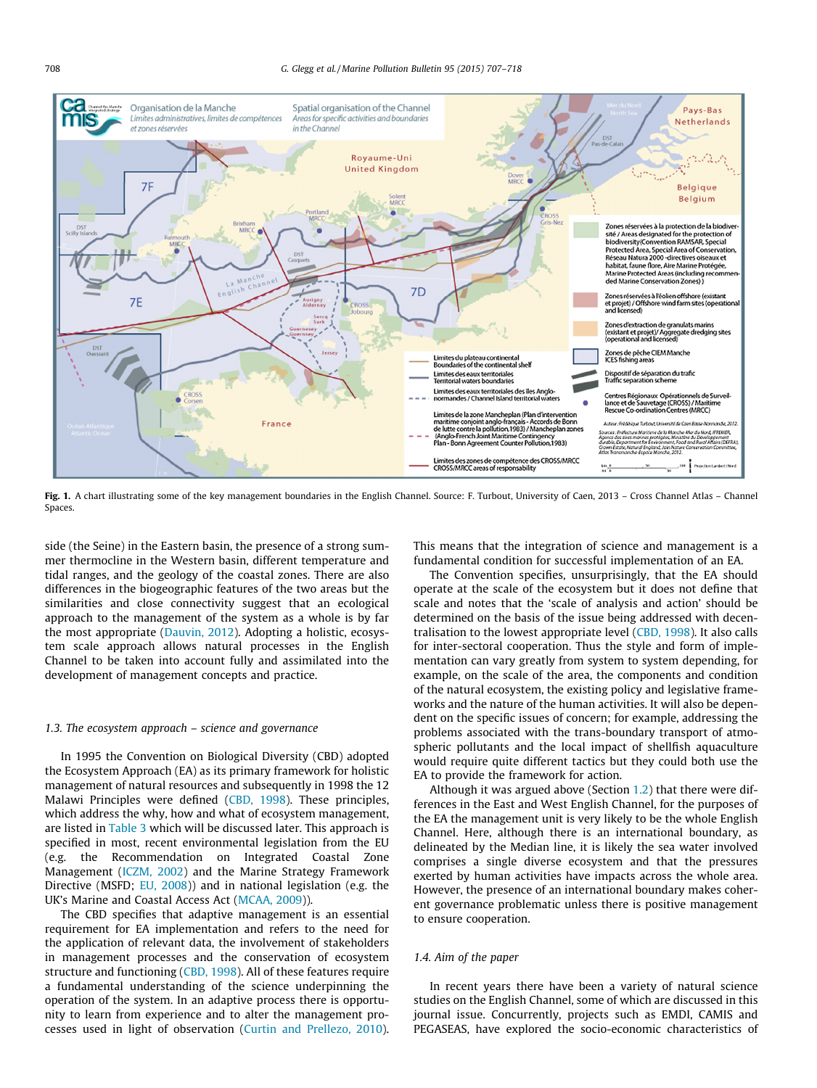<span id="page-1-0"></span>

Fig. 1. A chart illustrating some of the key management boundaries in the English Channel. Source: F. Turbout, University of Caen, 2013 - Cross Channel Atlas - Channel Spaces.

side (the Seine) in the Eastern basin, the presence of a strong summer thermocline in the Western basin, different temperature and tidal ranges, and the geology of the coastal zones. There are also differences in the biogeographic features of the two areas but the similarities and close connectivity suggest that an ecological approach to the management of the system as a whole is by far the most appropriate ([Dauvin, 2012\)](#page-10-0). Adopting a holistic, ecosystem scale approach allows natural processes in the English Channel to be taken into account fully and assimilated into the development of management concepts and practice.

#### 1.3. The ecosystem approach – science and governance

In 1995 the Convention on Biological Diversity (CBD) adopted the Ecosystem Approach (EA) as its primary framework for holistic management of natural resources and subsequently in 1998 the 12 Malawi Principles were defined [\(CBD, 1998](#page-10-0)). These principles, which address the why, how and what of ecosystem management, are listed in [Table 3](#page-6-0) which will be discussed later. This approach is specified in most, recent environmental legislation from the EU (e.g. the Recommendation on Integrated Coastal Zone Management [\(ICZM, 2002\)](#page-11-0) and the Marine Strategy Framework Directive (MSFD; [EU, 2008\)](#page-10-0)) and in national legislation (e.g. the UK's Marine and Coastal Access Act ([MCAA, 2009](#page-11-0))).

The CBD specifies that adaptive management is an essential requirement for EA implementation and refers to the need for the application of relevant data, the involvement of stakeholders in management processes and the conservation of ecosystem structure and functioning ([CBD, 1998\)](#page-10-0). All of these features require a fundamental understanding of the science underpinning the operation of the system. In an adaptive process there is opportunity to learn from experience and to alter the management processes used in light of observation ([Curtin and Prellezo, 2010\)](#page-10-0).

This means that the integration of science and management is a fundamental condition for successful implementation of an EA.

The Convention specifies, unsurprisingly, that the EA should operate at the scale of the ecosystem but it does not define that scale and notes that the 'scale of analysis and action' should be determined on the basis of the issue being addressed with decentralisation to the lowest appropriate level [\(CBD, 1998](#page-10-0)). It also calls for inter-sectoral cooperation. Thus the style and form of implementation can vary greatly from system to system depending, for example, on the scale of the area, the components and condition of the natural ecosystem, the existing policy and legislative frameworks and the nature of the human activities. It will also be dependent on the specific issues of concern; for example, addressing the problems associated with the trans-boundary transport of atmospheric pollutants and the local impact of shellfish aquaculture would require quite different tactics but they could both use the EA to provide the framework for action.

Although it was argued above (Section [1.2](#page-0-0)) that there were differences in the East and West English Channel, for the purposes of the EA the management unit is very likely to be the whole English Channel. Here, although there is an international boundary, as delineated by the Median line, it is likely the sea water involved comprises a single diverse ecosystem and that the pressures exerted by human activities have impacts across the whole area. However, the presence of an international boundary makes coherent governance problematic unless there is positive management to ensure cooperation.

## 1.4. Aim of the paper

In recent years there have been a variety of natural science studies on the English Channel, some of which are discussed in this journal issue. Concurrently, projects such as EMDI, CAMIS and PEGASEAS, have explored the socio-economic characteristics of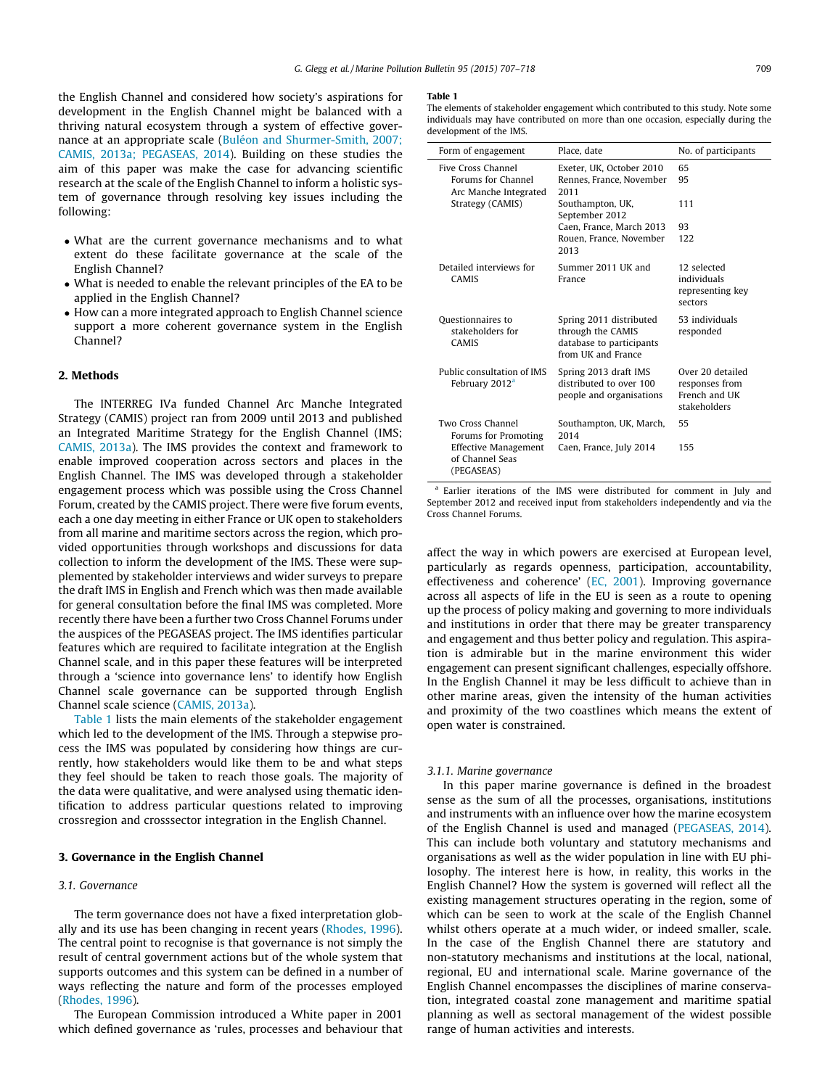<span id="page-2-0"></span>the English Channel and considered how society's aspirations for development in the English Channel might be balanced with a thriving natural ecosystem through a system of effective governance at an appropriate scale [\(Buléon and Shurmer-Smith, 2007;](#page-10-0) [CAMIS, 2013a; PEGASEAS, 2014](#page-10-0)). Building on these studies the aim of this paper was make the case for advancing scientific research at the scale of the English Channel to inform a holistic system of governance through resolving key issues including the following:

- What are the current governance mechanisms and to what extent do these facilitate governance at the scale of the English Channel?
- What is needed to enable the relevant principles of the EA to be applied in the English Channel?
- How can a more integrated approach to English Channel science support a more coherent governance system in the English Channel?

# 2. Methods

The INTERREG IVa funded Channel Arc Manche Integrated Strategy (CAMIS) project ran from 2009 until 2013 and published an Integrated Maritime Strategy for the English Channel (IMS; [CAMIS, 2013a\)](#page-10-0). The IMS provides the context and framework to enable improved cooperation across sectors and places in the English Channel. The IMS was developed through a stakeholder engagement process which was possible using the Cross Channel Forum, created by the CAMIS project. There were five forum events, each a one day meeting in either France or UK open to stakeholders from all marine and maritime sectors across the region, which provided opportunities through workshops and discussions for data collection to inform the development of the IMS. These were supplemented by stakeholder interviews and wider surveys to prepare the draft IMS in English and French which was then made available for general consultation before the final IMS was completed. More recently there have been a further two Cross Channel Forums under the auspices of the PEGASEAS project. The IMS identifies particular features which are required to facilitate integration at the English Channel scale, and in this paper these features will be interpreted through a 'science into governance lens' to identify how English Channel scale governance can be supported through English Channel scale science [\(CAMIS, 2013a\)](#page-10-0).

Table 1 lists the main elements of the stakeholder engagement which led to the development of the IMS. Through a stepwise process the IMS was populated by considering how things are currently, how stakeholders would like them to be and what steps they feel should be taken to reach those goals. The majority of the data were qualitative, and were analysed using thematic identification to address particular questions related to improving crossregion and crosssector integration in the English Channel.

# 3. Governance in the English Channel

# 3.1. Governance

The term governance does not have a fixed interpretation globally and its use has been changing in recent years ([Rhodes, 1996\)](#page-11-0). The central point to recognise is that governance is not simply the result of central government actions but of the whole system that supports outcomes and this system can be defined in a number of ways reflecting the nature and form of the processes employed ([Rhodes, 1996](#page-11-0)).

The European Commission introduced a White paper in 2001 which defined governance as 'rules, processes and behaviour that

#### Table 1

The elements of stakeholder engagement which contributed to this study. Note some individuals may have contributed on more than one occasion, especially during the development of the IMS.

| Form of engagement                                                       | Place, date                                                                                    | No. of participants                                                  |
|--------------------------------------------------------------------------|------------------------------------------------------------------------------------------------|----------------------------------------------------------------------|
| <b>Five Cross Channel</b><br>Forums for Channel<br>Arc Manche Integrated | Exeter, UK, October 2010<br>Rennes, France, November<br>2011                                   | 65<br>95                                                             |
| Strategy (CAMIS)                                                         | Southampton, UK,<br>September 2012                                                             | 111                                                                  |
|                                                                          | Caen, France, March 2013<br>Rouen, France, November<br>2013                                    | 93<br>122                                                            |
| Detailed interviews for<br>CAMIS                                         | Summer 2011 HK and<br>France                                                                   | 12 selected<br>individuals<br>representing key<br>sectors            |
| Questionnaires to<br>stakeholders for<br><b>CAMIS</b>                    | Spring 2011 distributed<br>through the CAMIS<br>database to participants<br>from UK and France | 53 individuals<br>responded                                          |
| Public consultation of IMS<br>February 2012 <sup>a</sup>                 | Spring 2013 draft IMS<br>distributed to over 100<br>people and organisations                   | Over 20 detailed<br>responses from<br>French and IIK<br>stakeholders |
| Two Cross Channel<br>Forums for Promoting                                | Southampton, UK, March,<br>2014                                                                | 55                                                                   |
| <b>Effective Management</b><br>of Channel Seas<br>(PEGASEAS)             | Caen, France, July 2014                                                                        | 155                                                                  |

<sup>a</sup> Earlier iterations of the IMS were distributed for comment in July and September 2012 and received input from stakeholders independently and via the Cross Channel Forums.

affect the way in which powers are exercised at European level, particularly as regards openness, participation, accountability, effectiveness and coherence' [\(EC, 2001](#page-10-0)). Improving governance across all aspects of life in the EU is seen as a route to opening up the process of policy making and governing to more individuals and institutions in order that there may be greater transparency and engagement and thus better policy and regulation. This aspiration is admirable but in the marine environment this wider engagement can present significant challenges, especially offshore. In the English Channel it may be less difficult to achieve than in other marine areas, given the intensity of the human activities and proximity of the two coastlines which means the extent of open water is constrained.

#### 3.1.1. Marine governance

In this paper marine governance is defined in the broadest sense as the sum of all the processes, organisations, institutions and instruments with an influence over how the marine ecosystem of the English Channel is used and managed [\(PEGASEAS, 2014\)](#page-11-0). This can include both voluntary and statutory mechanisms and organisations as well as the wider population in line with EU philosophy. The interest here is how, in reality, this works in the English Channel? How the system is governed will reflect all the existing management structures operating in the region, some of which can be seen to work at the scale of the English Channel whilst others operate at a much wider, or indeed smaller, scale. In the case of the English Channel there are statutory and non-statutory mechanisms and institutions at the local, national, regional, EU and international scale. Marine governance of the English Channel encompasses the disciplines of marine conservation, integrated coastal zone management and maritime spatial planning as well as sectoral management of the widest possible range of human activities and interests.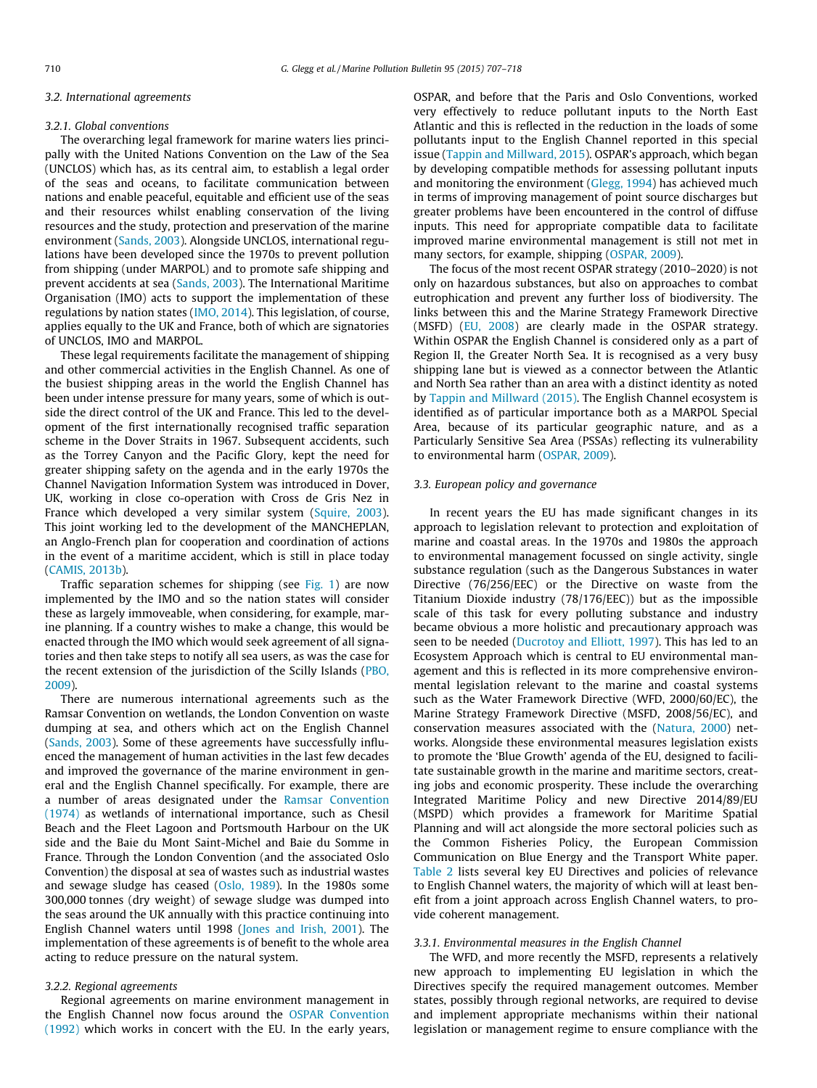#### 3.2. International agreements

#### 3.2.1. Global conventions

The overarching legal framework for marine waters lies principally with the United Nations Convention on the Law of the Sea (UNCLOS) which has, as its central aim, to establish a legal order of the seas and oceans, to facilitate communication between nations and enable peaceful, equitable and efficient use of the seas and their resources whilst enabling conservation of the living resources and the study, protection and preservation of the marine environment ([Sands, 2003](#page-11-0)). Alongside UNCLOS, international regulations have been developed since the 1970s to prevent pollution from shipping (under MARPOL) and to promote safe shipping and prevent accidents at sea ([Sands, 2003\)](#page-11-0). The International Maritime Organisation (IMO) acts to support the implementation of these regulations by nation states ([IMO, 2014](#page-11-0)). This legislation, of course, applies equally to the UK and France, both of which are signatories of UNCLOS, IMO and MARPOL.

These legal requirements facilitate the management of shipping and other commercial activities in the English Channel. As one of the busiest shipping areas in the world the English Channel has been under intense pressure for many years, some of which is outside the direct control of the UK and France. This led to the development of the first internationally recognised traffic separation scheme in the Dover Straits in 1967. Subsequent accidents, such as the Torrey Canyon and the Pacific Glory, kept the need for greater shipping safety on the agenda and in the early 1970s the Channel Navigation Information System was introduced in Dover, UK, working in close co-operation with Cross de Gris Nez in France which developed a very similar system [\(Squire, 2003\)](#page-11-0). This joint working led to the development of the MANCHEPLAN, an Anglo-French plan for cooperation and coordination of actions in the event of a maritime accident, which is still in place today ([CAMIS, 2013b\)](#page-10-0).

Traffic separation schemes for shipping (see [Fig. 1](#page-1-0)) are now implemented by the IMO and so the nation states will consider these as largely immoveable, when considering, for example, marine planning. If a country wishes to make a change, this would be enacted through the IMO which would seek agreement of all signatories and then take steps to notify all sea users, as was the case for the recent extension of the jurisdiction of the Scilly Islands [\(PBO,](#page-11-0) [2009\)](#page-11-0).

There are numerous international agreements such as the Ramsar Convention on wetlands, the London Convention on waste dumping at sea, and others which act on the English Channel ([Sands, 2003\)](#page-11-0). Some of these agreements have successfully influenced the management of human activities in the last few decades and improved the governance of the marine environment in general and the English Channel specifically. For example, there are a number of areas designated under the [Ramsar Convention](#page-11-0) [\(1974\)](#page-11-0) as wetlands of international importance, such as Chesil Beach and the Fleet Lagoon and Portsmouth Harbour on the UK side and the Baie du Mont Saint-Michel and Baie du Somme in France. Through the London Convention (and the associated Oslo Convention) the disposal at sea of wastes such as industrial wastes and sewage sludge has ceased ([Oslo, 1989\)](#page-11-0). In the 1980s some 300,000 tonnes (dry weight) of sewage sludge was dumped into the seas around the UK annually with this practice continuing into English Channel waters until 1998 ([Jones and Irish, 2001\)](#page-11-0). The implementation of these agreements is of benefit to the whole area acting to reduce pressure on the natural system.

#### 3.2.2. Regional agreements

Regional agreements on marine environment management in the English Channel now focus around the [OSPAR Convention](#page-11-0) [\(1992\)](#page-11-0) which works in concert with the EU. In the early years, OSPAR, and before that the Paris and Oslo Conventions, worked very effectively to reduce pollutant inputs to the North East Atlantic and this is reflected in the reduction in the loads of some pollutants input to the English Channel reported in this special issue ([Tappin and Millward, 2015\)](#page-11-0). OSPAR's approach, which began by developing compatible methods for assessing pollutant inputs and monitoring the environment [\(Glegg, 1994\)](#page-10-0) has achieved much in terms of improving management of point source discharges but greater problems have been encountered in the control of diffuse inputs. This need for appropriate compatible data to facilitate improved marine environmental management is still not met in many sectors, for example, shipping ([OSPAR, 2009](#page-11-0)).

The focus of the most recent OSPAR strategy (2010–2020) is not only on hazardous substances, but also on approaches to combat eutrophication and prevent any further loss of biodiversity. The links between this and the Marine Strategy Framework Directive (MSFD) [\(EU, 2008](#page-10-0)) are clearly made in the OSPAR strategy. Within OSPAR the English Channel is considered only as a part of Region II, the Greater North Sea. It is recognised as a very busy shipping lane but is viewed as a connector between the Atlantic and North Sea rather than an area with a distinct identity as noted by [Tappin and Millward \(2015\).](#page-11-0) The English Channel ecosystem is identified as of particular importance both as a MARPOL Special Area, because of its particular geographic nature, and as a Particularly Sensitive Sea Area (PSSAs) reflecting its vulnerability to environmental harm ([OSPAR, 2009](#page-11-0)).

## 3.3. European policy and governance

In recent years the EU has made significant changes in its approach to legislation relevant to protection and exploitation of marine and coastal areas. In the 1970s and 1980s the approach to environmental management focussed on single activity, single substance regulation (such as the Dangerous Substances in water Directive (76/256/EEC) or the Directive on waste from the Titanium Dioxide industry (78/176/EEC)) but as the impossible scale of this task for every polluting substance and industry became obvious a more holistic and precautionary approach was seen to be needed ([Ducrotoy and Elliott, 1997](#page-10-0)). This has led to an Ecosystem Approach which is central to EU environmental management and this is reflected in its more comprehensive environmental legislation relevant to the marine and coastal systems such as the Water Framework Directive (WFD, 2000/60/EC), the Marine Strategy Framework Directive (MSFD, 2008/56/EC), and conservation measures associated with the [\(Natura, 2000\)](#page-11-0) networks. Alongside these environmental measures legislation exists to promote the 'Blue Growth' agenda of the EU, designed to facilitate sustainable growth in the marine and maritime sectors, creating jobs and economic prosperity. These include the overarching Integrated Maritime Policy and new Directive 2014/89/EU (MSPD) which provides a framework for Maritime Spatial Planning and will act alongside the more sectoral policies such as the Common Fisheries Policy, the European Commission Communication on Blue Energy and the Transport White paper. [Table 2](#page-4-0) lists several key EU Directives and policies of relevance to English Channel waters, the majority of which will at least benefit from a joint approach across English Channel waters, to provide coherent management.

#### 3.3.1. Environmental measures in the English Channel

The WFD, and more recently the MSFD, represents a relatively new approach to implementing EU legislation in which the Directives specify the required management outcomes. Member states, possibly through regional networks, are required to devise and implement appropriate mechanisms within their national legislation or management regime to ensure compliance with the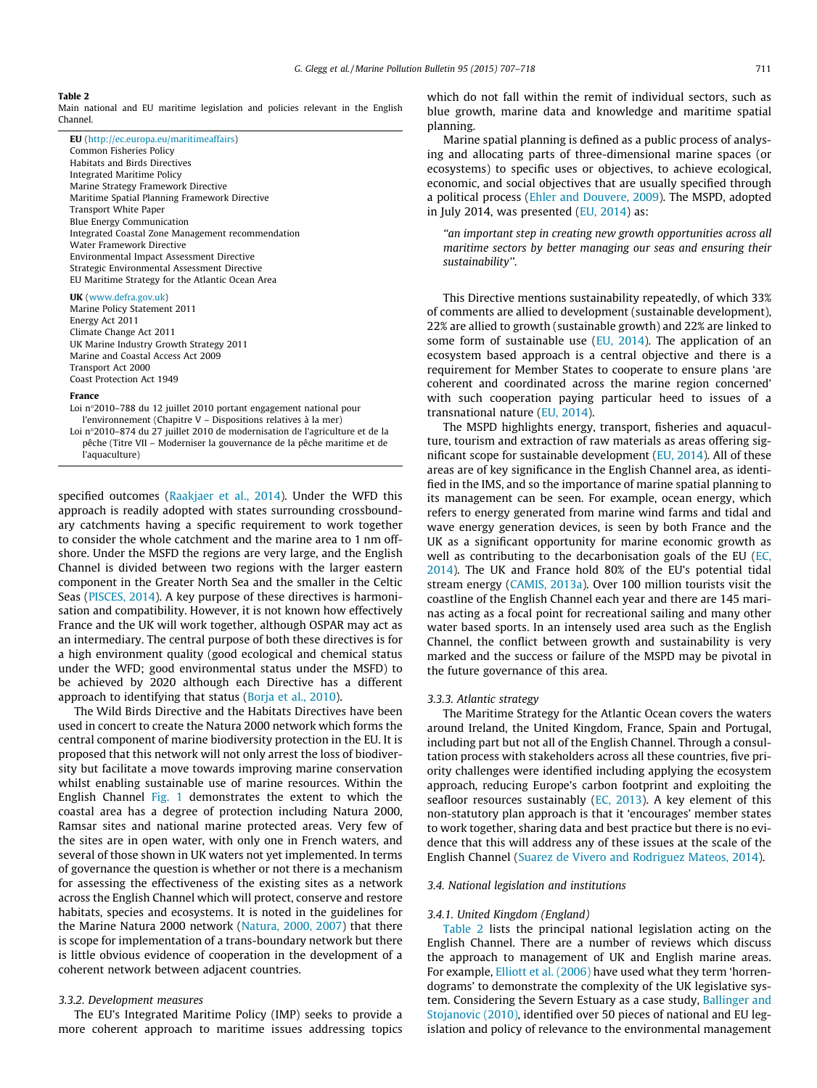#### <span id="page-4-0"></span>Table 2

Main national and EU maritime legislation and policies relevant in the English Channel.

| <b>EU</b> (http://ec.europa.eu/maritimeaffairs)<br>Common Fisheries Policy<br>Habitats and Birds Directives<br>Integrated Maritime Policy<br>Marine Strategy Framework Directive<br>Maritime Spatial Planning Framework Directive<br>Transport White Paper |  |  |  |
|------------------------------------------------------------------------------------------------------------------------------------------------------------------------------------------------------------------------------------------------------------|--|--|--|
| <b>Blue Energy Communication</b>                                                                                                                                                                                                                           |  |  |  |
| Integrated Coastal Zone Management recommendation                                                                                                                                                                                                          |  |  |  |
| Water Framework Directive<br>Environmental Impact Assessment Directive                                                                                                                                                                                     |  |  |  |
| Strategic Environmental Assessment Directive<br>EU Maritime Strategy for the Atlantic Ocean Area                                                                                                                                                           |  |  |  |
|                                                                                                                                                                                                                                                            |  |  |  |

#### UK ([www.defra.gov.uk](http://www.defra.gov.uk))

Marine Policy Statement 2011 Energy Act 2011 Climate Change Act 2011 UK Marine Industry Growth Strategy 2011 Marine and Coastal Access Act 2009 Transport Act 2000 Coast Protection Act 1949

#### France

Loi n°2010–788 du 12 juillet 2010 portant engagement national pour l'environnement (Chapitre V – Dispositions relatives à la mer) Loi n°2010–874 du 27 juillet 2010 de modernisation de l'agriculture et de la pêche (Titre VII – Moderniser la gouvernance de la pêche maritime et de l'aquaculture)

specified outcomes [\(Raakjaer et al., 2014\)](#page-11-0). Under the WFD this approach is readily adopted with states surrounding crossboundary catchments having a specific requirement to work together to consider the whole catchment and the marine area to 1 nm offshore. Under the MSFD the regions are very large, and the English Channel is divided between two regions with the larger eastern component in the Greater North Sea and the smaller in the Celtic Seas ([PISCES, 2014](#page-11-0)). A key purpose of these directives is harmonisation and compatibility. However, it is not known how effectively France and the UK will work together, although OSPAR may act as an intermediary. The central purpose of both these directives is for a high environment quality (good ecological and chemical status under the WFD; good environmental status under the MSFD) to be achieved by 2020 although each Directive has a different approach to identifying that status ([Borja et al., 2010\)](#page-10-0).

The Wild Birds Directive and the Habitats Directives have been used in concert to create the Natura 2000 network which forms the central component of marine biodiversity protection in the EU. It is proposed that this network will not only arrest the loss of biodiversity but facilitate a move towards improving marine conservation whilst enabling sustainable use of marine resources. Within the English Channel [Fig. 1](#page-1-0) demonstrates the extent to which the coastal area has a degree of protection including Natura 2000, Ramsar sites and national marine protected areas. Very few of the sites are in open water, with only one in French waters, and several of those shown in UK waters not yet implemented. In terms of governance the question is whether or not there is a mechanism for assessing the effectiveness of the existing sites as a network across the English Channel which will protect, conserve and restore habitats, species and ecosystems. It is noted in the guidelines for the Marine Natura 2000 network [\(Natura, 2000, 2007](#page-11-0)) that there is scope for implementation of a trans-boundary network but there is little obvious evidence of cooperation in the development of a coherent network between adjacent countries.

## 3.3.2. Development measures

The EU's Integrated Maritime Policy (IMP) seeks to provide a more coherent approach to maritime issues addressing topics which do not fall within the remit of individual sectors, such as blue growth, marine data and knowledge and maritime spatial planning.

Marine spatial planning is defined as a public process of analysing and allocating parts of three-dimensional marine spaces (or ecosystems) to specific uses or objectives, to achieve ecological, economic, and social objectives that are usually specified through a political process [\(Ehler and Douvere, 2009](#page-10-0)). The MSPD, adopted in July 2014, was presented  $(EU, 2014)$  $(EU, 2014)$  as:

''an important step in creating new growth opportunities across all maritime sectors by better managing our seas and ensuring their sustainability''.

This Directive mentions sustainability repeatedly, of which 33% of comments are allied to development (sustainable development), 22% are allied to growth (sustainable growth) and 22% are linked to some form of sustainable use ([EU, 2014\)](#page-10-0). The application of an ecosystem based approach is a central objective and there is a requirement for Member States to cooperate to ensure plans 'are coherent and coordinated across the marine region concerned' with such cooperation paying particular heed to issues of a transnational nature ([EU, 2014\)](#page-10-0).

The MSPD highlights energy, transport, fisheries and aquaculture, tourism and extraction of raw materials as areas offering significant scope for sustainable development [\(EU, 2014\)](#page-10-0). All of these areas are of key significance in the English Channel area, as identified in the IMS, and so the importance of marine spatial planning to its management can be seen. For example, ocean energy, which refers to energy generated from marine wind farms and tidal and wave energy generation devices, is seen by both France and the UK as a significant opportunity for marine economic growth as well as contributing to the decarbonisation goals of the EU [\(EC,](#page-10-0) [2014](#page-10-0)). The UK and France hold 80% of the EU's potential tidal stream energy [\(CAMIS, 2013a\)](#page-10-0). Over 100 million tourists visit the coastline of the English Channel each year and there are 145 marinas acting as a focal point for recreational sailing and many other water based sports. In an intensely used area such as the English Channel, the conflict between growth and sustainability is very marked and the success or failure of the MSPD may be pivotal in the future governance of this area.

#### 3.3.3. Atlantic strategy

The Maritime Strategy for the Atlantic Ocean covers the waters around Ireland, the United Kingdom, France, Spain and Portugal, including part but not all of the English Channel. Through a consultation process with stakeholders across all these countries, five priority challenges were identified including applying the ecosystem approach, reducing Europe's carbon footprint and exploiting the seafloor resources sustainably [\(EC, 2013](#page-10-0)). A key element of this non-statutory plan approach is that it 'encourages' member states to work together, sharing data and best practice but there is no evidence that this will address any of these issues at the scale of the English Channel [\(Suarez de Vivero and Rodriguez Mateos, 2014](#page-11-0)).

#### 3.4. National legislation and institutions

#### 3.4.1. United Kingdom (England)

Table 2 lists the principal national legislation acting on the English Channel. There are a number of reviews which discuss the approach to management of UK and English marine areas. For example, [Elliott et al. \(2006\)](#page-10-0) have used what they term 'horrendograms' to demonstrate the complexity of the UK legislative system. Considering the Severn Estuary as a case study, [Ballinger and](#page-10-0) [Stojanovic \(2010\),](#page-10-0) identified over 50 pieces of national and EU legislation and policy of relevance to the environmental management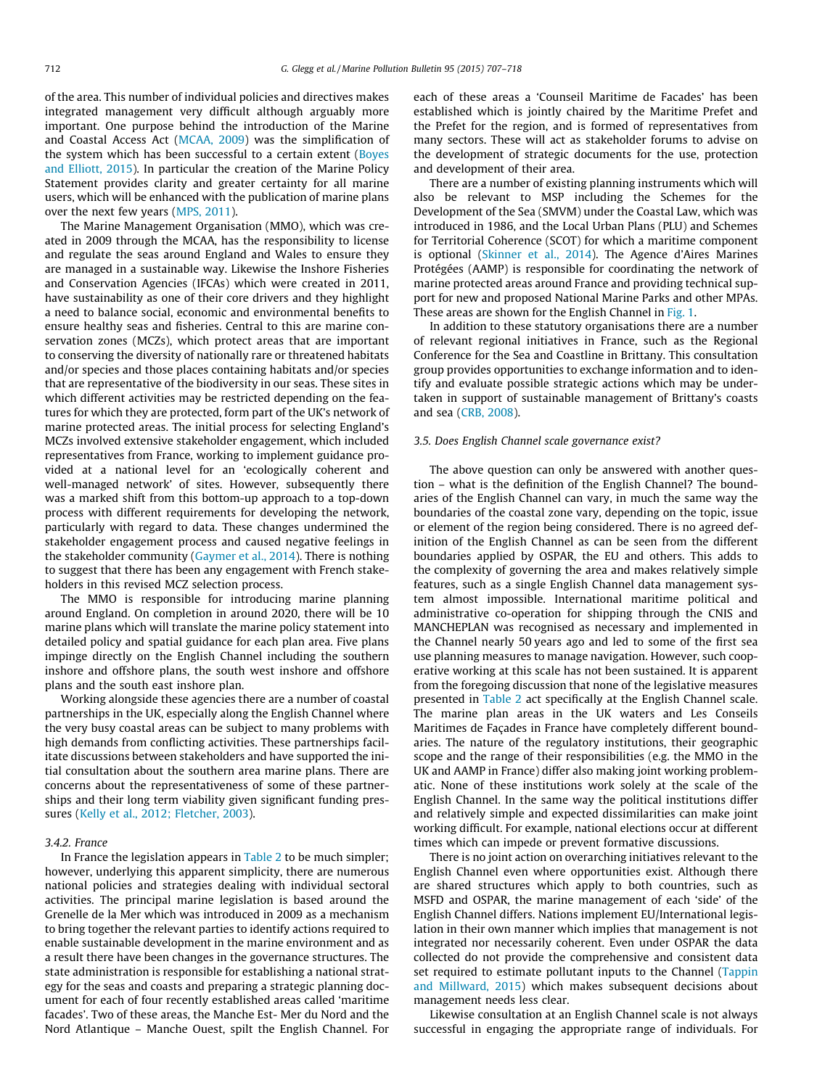of the area. This number of individual policies and directives makes integrated management very difficult although arguably more important. One purpose behind the introduction of the Marine and Coastal Access Act [\(MCAA, 2009](#page-11-0)) was the simplification of the system which has been successful to a certain extent ([Boyes](#page-10-0) [and Elliott, 2015\)](#page-10-0). In particular the creation of the Marine Policy Statement provides clarity and greater certainty for all marine users, which will be enhanced with the publication of marine plans over the next few years ([MPS, 2011\)](#page-11-0).

The Marine Management Organisation (MMO), which was created in 2009 through the MCAA, has the responsibility to license and regulate the seas around England and Wales to ensure they are managed in a sustainable way. Likewise the Inshore Fisheries and Conservation Agencies (IFCAs) which were created in 2011, have sustainability as one of their core drivers and they highlight a need to balance social, economic and environmental benefits to ensure healthy seas and fisheries. Central to this are marine conservation zones (MCZs), which protect areas that are important to conserving the diversity of nationally rare or threatened habitats and/or species and those places containing habitats and/or species that are representative of the biodiversity in our seas. These sites in which different activities may be restricted depending on the features for which they are protected, form part of the UK's network of marine protected areas. The initial process for selecting England's MCZs involved extensive stakeholder engagement, which included representatives from France, working to implement guidance provided at a national level for an 'ecologically coherent and well-managed network' of sites. However, subsequently there was a marked shift from this bottom-up approach to a top-down process with different requirements for developing the network, particularly with regard to data. These changes undermined the stakeholder engagement process and caused negative feelings in the stakeholder community [\(Gaymer et al., 2014](#page-10-0)). There is nothing to suggest that there has been any engagement with French stakeholders in this revised MCZ selection process.

The MMO is responsible for introducing marine planning around England. On completion in around 2020, there will be 10 marine plans which will translate the marine policy statement into detailed policy and spatial guidance for each plan area. Five plans impinge directly on the English Channel including the southern inshore and offshore plans, the south west inshore and offshore plans and the south east inshore plan.

Working alongside these agencies there are a number of coastal partnerships in the UK, especially along the English Channel where the very busy coastal areas can be subject to many problems with high demands from conflicting activities. These partnerships facilitate discussions between stakeholders and have supported the initial consultation about the southern area marine plans. There are concerns about the representativeness of some of these partnerships and their long term viability given significant funding pressures [\(Kelly et al., 2012; Fletcher, 2003](#page-11-0)).

## 342 France

In France the legislation appears in [Table 2](#page-4-0) to be much simpler; however, underlying this apparent simplicity, there are numerous national policies and strategies dealing with individual sectoral activities. The principal marine legislation is based around the Grenelle de la Mer which was introduced in 2009 as a mechanism to bring together the relevant parties to identify actions required to enable sustainable development in the marine environment and as a result there have been changes in the governance structures. The state administration is responsible for establishing a national strategy for the seas and coasts and preparing a strategic planning document for each of four recently established areas called 'maritime facades'. Two of these areas, the Manche Est- Mer du Nord and the Nord Atlantique – Manche Ouest, spilt the English Channel. For each of these areas a 'Counseil Maritime de Facades' has been established which is jointly chaired by the Maritime Prefet and the Prefet for the region, and is formed of representatives from many sectors. These will act as stakeholder forums to advise on the development of strategic documents for the use, protection and development of their area.

There are a number of existing planning instruments which will also be relevant to MSP including the Schemes for the Development of the Sea (SMVM) under the Coastal Law, which was introduced in 1986, and the Local Urban Plans (PLU) and Schemes for Territorial Coherence (SCOT) for which a maritime component is optional ([Skinner et al., 2014](#page-11-0)). The Agence d'Aires Marines Protégées (AAMP) is responsible for coordinating the network of marine protected areas around France and providing technical support for new and proposed National Marine Parks and other MPAs. These areas are shown for the English Channel in [Fig. 1](#page-1-0).

In addition to these statutory organisations there are a number of relevant regional initiatives in France, such as the Regional Conference for the Sea and Coastline in Brittany. This consultation group provides opportunities to exchange information and to identify and evaluate possible strategic actions which may be undertaken in support of sustainable management of Brittany's coasts and sea [\(CRB, 2008\)](#page-10-0).

#### 3.5. Does English Channel scale governance exist?

The above question can only be answered with another question – what is the definition of the English Channel? The boundaries of the English Channel can vary, in much the same way the boundaries of the coastal zone vary, depending on the topic, issue or element of the region being considered. There is no agreed definition of the English Channel as can be seen from the different boundaries applied by OSPAR, the EU and others. This adds to the complexity of governing the area and makes relatively simple features, such as a single English Channel data management system almost impossible. International maritime political and administrative co-operation for shipping through the CNIS and MANCHEPLAN was recognised as necessary and implemented in the Channel nearly 50 years ago and led to some of the first sea use planning measures to manage navigation. However, such cooperative working at this scale has not been sustained. It is apparent from the foregoing discussion that none of the legislative measures presented in [Table 2](#page-4-0) act specifically at the English Channel scale. The marine plan areas in the UK waters and Les Conseils Maritimes de Façades in France have completely different boundaries. The nature of the regulatory institutions, their geographic scope and the range of their responsibilities (e.g. the MMO in the UK and AAMP in France) differ also making joint working problematic. None of these institutions work solely at the scale of the English Channel. In the same way the political institutions differ and relatively simple and expected dissimilarities can make joint working difficult. For example, national elections occur at different times which can impede or prevent formative discussions.

There is no joint action on overarching initiatives relevant to the English Channel even where opportunities exist. Although there are shared structures which apply to both countries, such as MSFD and OSPAR, the marine management of each 'side' of the English Channel differs. Nations implement EU/International legislation in their own manner which implies that management is not integrated nor necessarily coherent. Even under OSPAR the data collected do not provide the comprehensive and consistent data set required to estimate pollutant inputs to the Channel ([Tappin](#page-11-0) [and Millward, 2015](#page-11-0)) which makes subsequent decisions about management needs less clear.

Likewise consultation at an English Channel scale is not always successful in engaging the appropriate range of individuals. For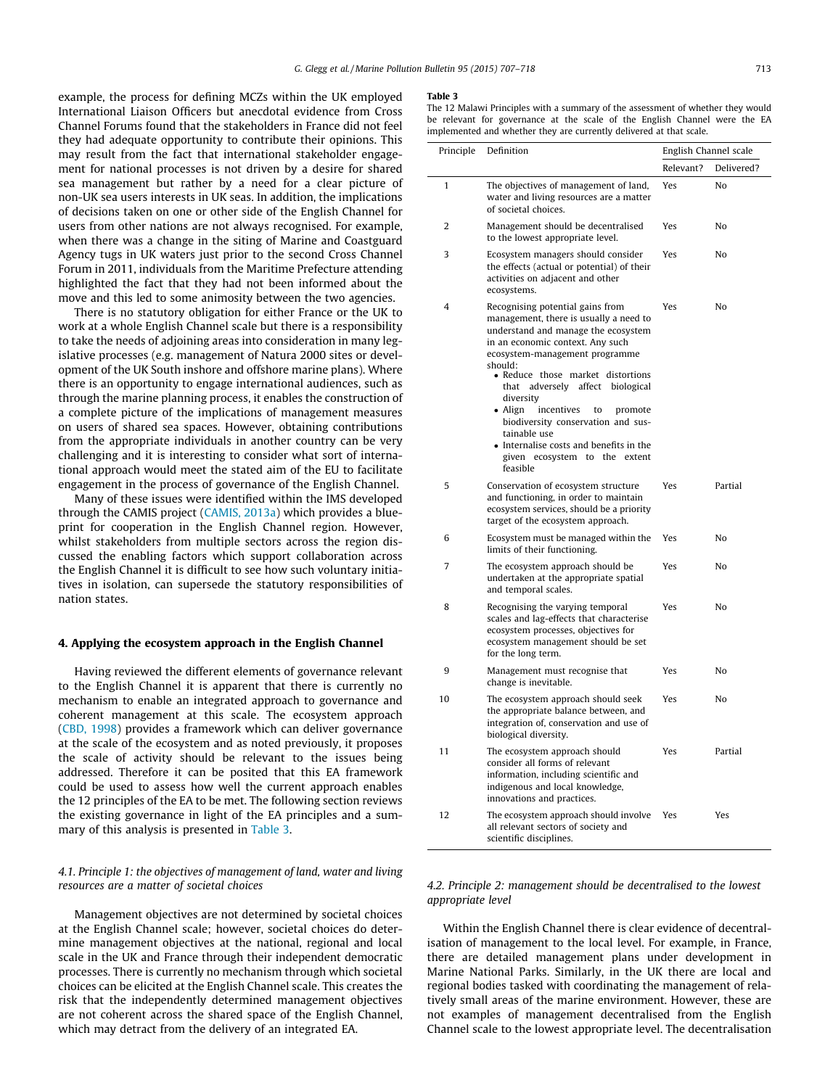<span id="page-6-0"></span>example, the process for defining MCZs within the UK employed International Liaison Officers but anecdotal evidence from Cross Channel Forums found that the stakeholders in France did not feel they had adequate opportunity to contribute their opinions. This may result from the fact that international stakeholder engagement for national processes is not driven by a desire for shared sea management but rather by a need for a clear picture of non-UK sea users interests in UK seas. In addition, the implications of decisions taken on one or other side of the English Channel for users from other nations are not always recognised. For example, when there was a change in the siting of Marine and Coastguard Agency tugs in UK waters just prior to the second Cross Channel Forum in 2011, individuals from the Maritime Prefecture attending highlighted the fact that they had not been informed about the move and this led to some animosity between the two agencies.

There is no statutory obligation for either France or the UK to work at a whole English Channel scale but there is a responsibility to take the needs of adjoining areas into consideration in many legislative processes (e.g. management of Natura 2000 sites or development of the UK South inshore and offshore marine plans). Where there is an opportunity to engage international audiences, such as through the marine planning process, it enables the construction of a complete picture of the implications of management measures on users of shared sea spaces. However, obtaining contributions from the appropriate individuals in another country can be very challenging and it is interesting to consider what sort of international approach would meet the stated aim of the EU to facilitate engagement in the process of governance of the English Channel.

Many of these issues were identified within the IMS developed through the CAMIS project ([CAMIS, 2013a](#page-10-0)) which provides a blueprint for cooperation in the English Channel region. However, whilst stakeholders from multiple sectors across the region discussed the enabling factors which support collaboration across the English Channel it is difficult to see how such voluntary initiatives in isolation, can supersede the statutory responsibilities of nation states.

#### 4. Applying the ecosystem approach in the English Channel

Having reviewed the different elements of governance relevant to the English Channel it is apparent that there is currently no mechanism to enable an integrated approach to governance and coherent management at this scale. The ecosystem approach ([CBD, 1998](#page-10-0)) provides a framework which can deliver governance at the scale of the ecosystem and as noted previously, it proposes the scale of activity should be relevant to the issues being addressed. Therefore it can be posited that this EA framework could be used to assess how well the current approach enables the 12 principles of the EA to be met. The following section reviews the existing governance in light of the EA principles and a summary of this analysis is presented in Table 3.

# 4.1. Principle 1: the objectives of management of land, water and living resources are a matter of societal choices

Management objectives are not determined by societal choices at the English Channel scale; however, societal choices do determine management objectives at the national, regional and local scale in the UK and France through their independent democratic processes. There is currently no mechanism through which societal choices can be elicited at the English Channel scale. This creates the risk that the independently determined management objectives are not coherent across the shared space of the English Channel, which may detract from the delivery of an integrated EA.

#### Table 3

The 12 Malawi Principles with a summary of the assessment of whether they would be relevant for governance at the scale of the English Channel were the EA implemented and whether they are currently delivered at that scale.

| inpremented and whether they are carrently defive<br>Principle | Definition                                                                                                                                                                                                                                                                                                                                                                                                                                                                       | English Channel scale |            |  |
|----------------------------------------------------------------|----------------------------------------------------------------------------------------------------------------------------------------------------------------------------------------------------------------------------------------------------------------------------------------------------------------------------------------------------------------------------------------------------------------------------------------------------------------------------------|-----------------------|------------|--|
|                                                                |                                                                                                                                                                                                                                                                                                                                                                                                                                                                                  | Relevant?             | Delivered? |  |
| 1                                                              | The objectives of management of land,<br>water and living resources are a matter<br>of societal choices.                                                                                                                                                                                                                                                                                                                                                                         | Yes                   | No         |  |
| 2                                                              | Management should be decentralised<br>to the lowest appropriate level.                                                                                                                                                                                                                                                                                                                                                                                                           | Yes                   | No         |  |
| 3                                                              | Ecosystem managers should consider<br>the effects (actual or potential) of their<br>activities on adjacent and other<br>ecosystems.                                                                                                                                                                                                                                                                                                                                              | Yes                   | No         |  |
| 4                                                              | Recognising potential gains from<br>management, there is usually a need to<br>understand and manage the ecosystem<br>in an economic context. Any such<br>ecosystem-management programme<br>should:<br>· Reduce those market distortions<br>that adversely affect biological<br>diversity<br>• Align<br>incentives<br>to<br>promote<br>biodiversity conservation and sus-<br>tainable use<br>• Internalise costs and benefits in the<br>given ecosystem to the extent<br>feasible | Yes                   | No         |  |
| 5                                                              | Conservation of ecosystem structure<br>and functioning, in order to maintain<br>ecosystem services, should be a priority<br>target of the ecosystem approach.                                                                                                                                                                                                                                                                                                                    | Yes                   | Partial    |  |
| 6                                                              | Ecosystem must be managed within the<br>limits of their functioning.                                                                                                                                                                                                                                                                                                                                                                                                             | Yes                   | No         |  |
| 7                                                              | The ecosystem approach should be<br>undertaken at the appropriate spatial<br>and temporal scales.                                                                                                                                                                                                                                                                                                                                                                                | Yes                   | No         |  |
| 8                                                              | Recognising the varying temporal<br>scales and lag-effects that characterise<br>ecosystem processes, objectives for<br>ecosystem management should be set<br>for the long term.                                                                                                                                                                                                                                                                                                  | Yes                   | No         |  |
| 9                                                              | Management must recognise that<br>change is inevitable.                                                                                                                                                                                                                                                                                                                                                                                                                          | Yes                   | No         |  |
| 10                                                             | The ecosystem approach should seek<br>the appropriate balance between, and<br>integration of, conservation and use of<br>biological diversity.                                                                                                                                                                                                                                                                                                                                   | Yes                   | No         |  |
| 11                                                             | The ecosystem approach should<br>consider all forms of relevant<br>information, including scientific and<br>indigenous and local knowledge,<br>innovations and practices.                                                                                                                                                                                                                                                                                                        | Yes                   | Partial    |  |
| 12                                                             | The ecosystem approach should involve<br>all relevant sectors of society and<br>scientific disciplines.                                                                                                                                                                                                                                                                                                                                                                          | Yes                   | Yes        |  |

# 4.2. Principle 2: management should be decentralised to the lowest appropriate level

Within the English Channel there is clear evidence of decentralisation of management to the local level. For example, in France, there are detailed management plans under development in Marine National Parks. Similarly, in the UK there are local and regional bodies tasked with coordinating the management of relatively small areas of the marine environment. However, these are not examples of management decentralised from the English Channel scale to the lowest appropriate level. The decentralisation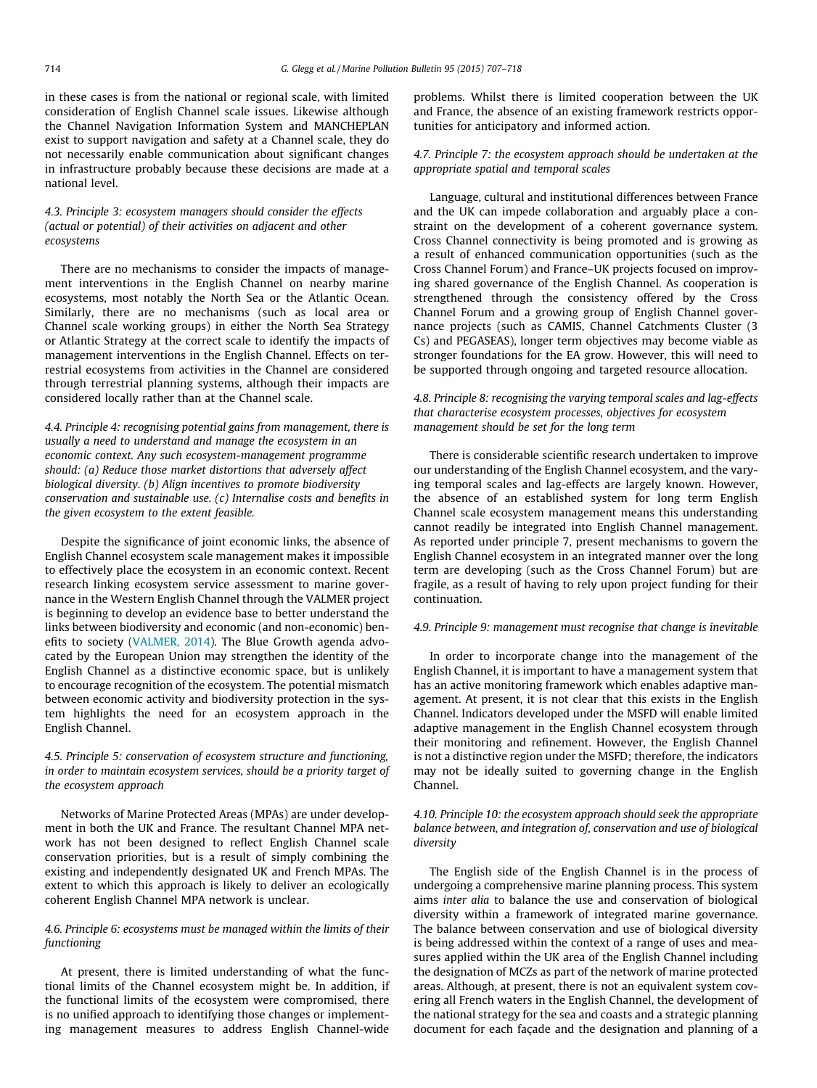in these cases is from the national or regional scale, with limited consideration of English Channel scale issues. Likewise although the Channel Navigation Information System and MANCHEPLAN exist to support navigation and safety at a Channel scale, they do not necessarily enable communication about significant changes in infrastructure probably because these decisions are made at a national level.

# 4.3. Principle 3: ecosystem managers should consider the effects (actual or potential) of their activities on adjacent and other ecosystems

There are no mechanisms to consider the impacts of management interventions in the English Channel on nearby marine ecosystems, most notably the North Sea or the Atlantic Ocean. Similarly, there are no mechanisms (such as local area or Channel scale working groups) in either the North Sea Strategy or Atlantic Strategy at the correct scale to identify the impacts of management interventions in the English Channel. Effects on terrestrial ecosystems from activities in the Channel are considered through terrestrial planning systems, although their impacts are considered locally rather than at the Channel scale.

4.4. Principle 4: recognising potential gains from management, there is usually a need to understand and manage the ecosystem in an economic context. Any such ecosystem-management programme should: (a) Reduce those market distortions that adversely affect biological diversity. (b) Align incentives to promote biodiversity conservation and sustainable use. (c) Internalise costs and benefits in the given ecosystem to the extent feasible.

Despite the significance of joint economic links, the absence of English Channel ecosystem scale management makes it impossible to effectively place the ecosystem in an economic context. Recent research linking ecosystem service assessment to marine governance in the Western English Channel through the VALMER project is beginning to develop an evidence base to better understand the links between biodiversity and economic (and non-economic) benefits to society ([VALMER, 2014](#page-11-0)). The Blue Growth agenda advocated by the European Union may strengthen the identity of the English Channel as a distinctive economic space, but is unlikely to encourage recognition of the ecosystem. The potential mismatch between economic activity and biodiversity protection in the system highlights the need for an ecosystem approach in the English Channel.

# 4.5. Principle 5: conservation of ecosystem structure and functioning, in order to maintain ecosystem services, should be a priority target of the ecosystem approach

Networks of Marine Protected Areas (MPAs) are under development in both the UK and France. The resultant Channel MPA network has not been designed to reflect English Channel scale conservation priorities, but is a result of simply combining the existing and independently designated UK and French MPAs. The extent to which this approach is likely to deliver an ecologically coherent English Channel MPA network is unclear.

# 4.6. Principle 6: ecosystems must be managed within the limits of their functioning

At present, there is limited understanding of what the functional limits of the Channel ecosystem might be. In addition, if the functional limits of the ecosystem were compromised, there is no unified approach to identifying those changes or implementing management measures to address English Channel-wide problems. Whilst there is limited cooperation between the UK and France, the absence of an existing framework restricts opportunities for anticipatory and informed action.

# 4.7. Principle 7: the ecosystem approach should be undertaken at the appropriate spatial and temporal scales

Language, cultural and institutional differences between France and the UK can impede collaboration and arguably place a constraint on the development of a coherent governance system. Cross Channel connectivity is being promoted and is growing as a result of enhanced communication opportunities (such as the Cross Channel Forum) and France–UK projects focused on improving shared governance of the English Channel. As cooperation is strengthened through the consistency offered by the Cross Channel Forum and a growing group of English Channel governance projects (such as CAMIS, Channel Catchments Cluster (3 Cs) and PEGASEAS), longer term objectives may become viable as stronger foundations for the EA grow. However, this will need to be supported through ongoing and targeted resource allocation.

# 4.8. Principle 8: recognising the varying temporal scales and lag-effects that characterise ecosystem processes, objectives for ecosystem management should be set for the long term

There is considerable scientific research undertaken to improve our understanding of the English Channel ecosystem, and the varying temporal scales and lag-effects are largely known. However, the absence of an established system for long term English Channel scale ecosystem management means this understanding cannot readily be integrated into English Channel management. As reported under principle 7, present mechanisms to govern the English Channel ecosystem in an integrated manner over the long term are developing (such as the Cross Channel Forum) but are fragile, as a result of having to rely upon project funding for their continuation.

## 4.9. Principle 9: management must recognise that change is inevitable

In order to incorporate change into the management of the English Channel, it is important to have a management system that has an active monitoring framework which enables adaptive management. At present, it is not clear that this exists in the English Channel. Indicators developed under the MSFD will enable limited adaptive management in the English Channel ecosystem through their monitoring and refinement. However, the English Channel is not a distinctive region under the MSFD; therefore, the indicators may not be ideally suited to governing change in the English Channel.

# 4.10. Principle 10: the ecosystem approach should seek the appropriate balance between, and integration of, conservation and use of biological diversity

The English side of the English Channel is in the process of undergoing a comprehensive marine planning process. This system aims inter alia to balance the use and conservation of biological diversity within a framework of integrated marine governance. The balance between conservation and use of biological diversity is being addressed within the context of a range of uses and measures applied within the UK area of the English Channel including the designation of MCZs as part of the network of marine protected areas. Although, at present, there is not an equivalent system covering all French waters in the English Channel, the development of the national strategy for the sea and coasts and a strategic planning document for each façade and the designation and planning of a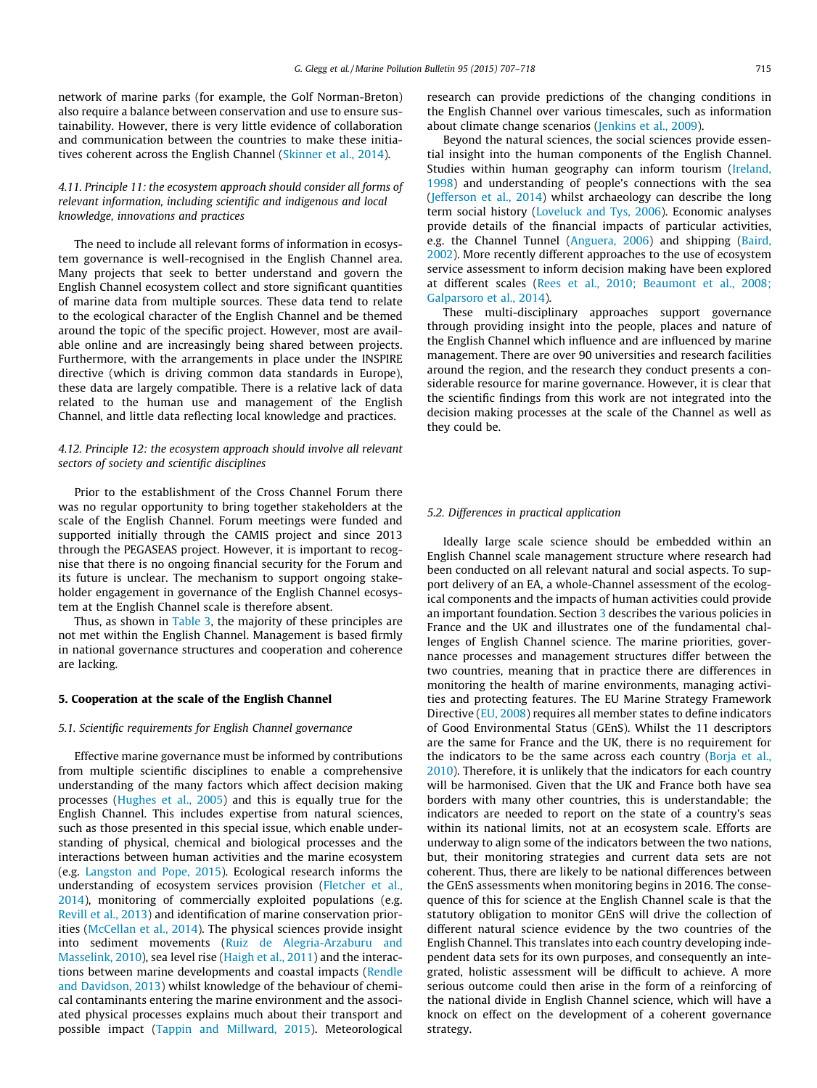network of marine parks (for example, the Golf Norman-Breton) also require a balance between conservation and use to ensure sustainability. However, there is very little evidence of collaboration and communication between the countries to make these initiatives coherent across the English Channel [\(Skinner et al., 2014\)](#page-11-0).

# 4.11. Principle 11: the ecosystem approach should consider all forms of relevant information, including scientific and indigenous and local knowledge, innovations and practices

The need to include all relevant forms of information in ecosystem governance is well-recognised in the English Channel area. Many projects that seek to better understand and govern the English Channel ecosystem collect and store significant quantities of marine data from multiple sources. These data tend to relate to the ecological character of the English Channel and be themed around the topic of the specific project. However, most are available online and are increasingly being shared between projects. Furthermore, with the arrangements in place under the INSPIRE directive (which is driving common data standards in Europe), these data are largely compatible. There is a relative lack of data related to the human use and management of the English Channel, and little data reflecting local knowledge and practices.

# 4.12. Principle 12: the ecosystem approach should involve all relevant sectors of society and scientific disciplines

Prior to the establishment of the Cross Channel Forum there was no regular opportunity to bring together stakeholders at the scale of the English Channel. Forum meetings were funded and supported initially through the CAMIS project and since 2013 through the PEGASEAS project. However, it is important to recognise that there is no ongoing financial security for the Forum and its future is unclear. The mechanism to support ongoing stakeholder engagement in governance of the English Channel ecosystem at the English Channel scale is therefore absent.

Thus, as shown in [Table 3,](#page-6-0) the majority of these principles are not met within the English Channel. Management is based firmly in national governance structures and cooperation and coherence are lacking.

# 5. Cooperation at the scale of the English Channel

#### 5.1. Scientific requirements for English Channel governance

Effective marine governance must be informed by contributions from multiple scientific disciplines to enable a comprehensive understanding of the many factors which affect decision making processes ([Hughes et al., 2005\)](#page-10-0) and this is equally true for the English Channel. This includes expertise from natural sciences, such as those presented in this special issue, which enable understanding of physical, chemical and biological processes and the interactions between human activities and the marine ecosystem (e.g. [Langston and Pope, 2015](#page-11-0)). Ecological research informs the understanding of ecosystem services provision ([Fletcher et al.,](#page-10-0) [2014\)](#page-10-0), monitoring of commercially exploited populations (e.g. [Revill et al., 2013\)](#page-11-0) and identification of marine conservation priorities [\(McCellan et al., 2014](#page-11-0)). The physical sciences provide insight into sediment movements ([Ruiz de Alegria-Arzaburu and](#page-11-0) [Masselink, 2010](#page-11-0)), sea level rise [\(Haigh et al., 2011\)](#page-10-0) and the interactions between marine developments and coastal impacts ([Rendle](#page-11-0) [and Davidson, 2013](#page-11-0)) whilst knowledge of the behaviour of chemical contaminants entering the marine environment and the associated physical processes explains much about their transport and possible impact ([Tappin and Millward, 2015\)](#page-11-0). Meteorological

research can provide predictions of the changing conditions in the English Channel over various timescales, such as information about climate change scenarios ([Jenkins et al., 2009\)](#page-11-0).

Beyond the natural sciences, the social sciences provide essential insight into the human components of the English Channel. Studies within human geography can inform tourism [\(Ireland,](#page-11-0) [1998\)](#page-11-0) and understanding of people's connections with the sea ([Jefferson et al., 2014](#page-11-0)) whilst archaeology can describe the long term social history [\(Loveluck and Tys, 2006](#page-11-0)). Economic analyses provide details of the financial impacts of particular activities, e.g. the Channel Tunnel [\(Anguera, 2006](#page-10-0)) and shipping ([Baird,](#page-10-0) [2002](#page-10-0)). More recently different approaches to the use of ecosystem service assessment to inform decision making have been explored at different scales ([Rees et al., 2010; Beaumont et al., 2008;](#page-11-0) [Galparsoro et al., 2014](#page-11-0)).

These multi-disciplinary approaches support governance through providing insight into the people, places and nature of the English Channel which influence and are influenced by marine management. There are over 90 universities and research facilities around the region, and the research they conduct presents a considerable resource for marine governance. However, it is clear that the scientific findings from this work are not integrated into the decision making processes at the scale of the Channel as well as they could be.

#### 5.2. Differences in practical application

Ideally large scale science should be embedded within an English Channel scale management structure where research had been conducted on all relevant natural and social aspects. To support delivery of an EA, a whole-Channel assessment of the ecological components and the impacts of human activities could provide an important foundation. Section [3](#page-2-0) describes the various policies in France and the UK and illustrates one of the fundamental challenges of English Channel science. The marine priorities, governance processes and management structures differ between the two countries, meaning that in practice there are differences in monitoring the health of marine environments, managing activities and protecting features. The EU Marine Strategy Framework Directive ([EU, 2008\)](#page-10-0) requires all member states to define indicators of Good Environmental Status (GEnS). Whilst the 11 descriptors are the same for France and the UK, there is no requirement for the indicators to be the same across each country [\(Borja et al.,](#page-10-0) [2010](#page-10-0)). Therefore, it is unlikely that the indicators for each country will be harmonised. Given that the UK and France both have sea borders with many other countries, this is understandable; the indicators are needed to report on the state of a country's seas within its national limits, not at an ecosystem scale. Efforts are underway to align some of the indicators between the two nations, but, their monitoring strategies and current data sets are not coherent. Thus, there are likely to be national differences between the GEnS assessments when monitoring begins in 2016. The consequence of this for science at the English Channel scale is that the statutory obligation to monitor GEnS will drive the collection of different natural science evidence by the two countries of the English Channel. This translates into each country developing independent data sets for its own purposes, and consequently an integrated, holistic assessment will be difficult to achieve. A more serious outcome could then arise in the form of a reinforcing of the national divide in English Channel science, which will have a knock on effect on the development of a coherent governance strategy.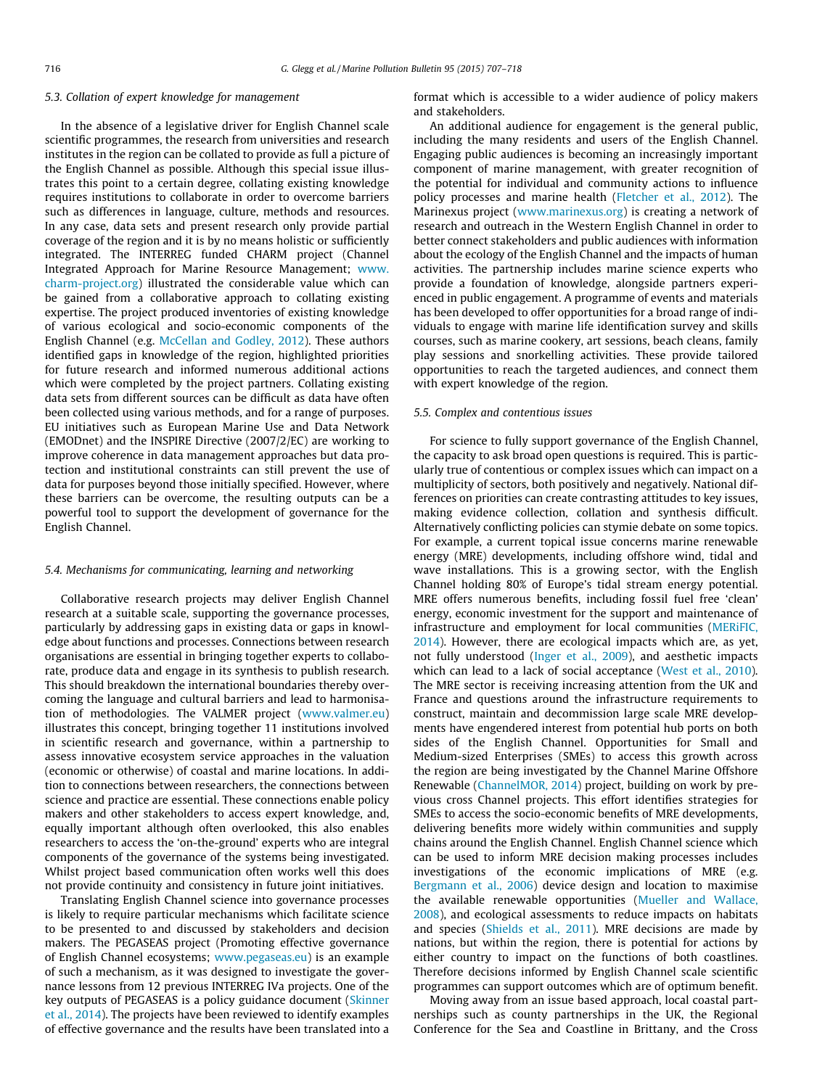#### 5.3. Collation of expert knowledge for management

In the absence of a legislative driver for English Channel scale scientific programmes, the research from universities and research institutes in the region can be collated to provide as full a picture of the English Channel as possible. Although this special issue illustrates this point to a certain degree, collating existing knowledge requires institutions to collaborate in order to overcome barriers such as differences in language, culture, methods and resources. In any case, data sets and present research only provide partial coverage of the region and it is by no means holistic or sufficiently integrated. The INTERREG funded CHARM project (Channel Integrated Approach for Marine Resource Management; [www.](http://www.charm-project.org) [charm-project.org\)](http://www.charm-project.org) illustrated the considerable value which can be gained from a collaborative approach to collating existing expertise. The project produced inventories of existing knowledge of various ecological and socio-economic components of the English Channel (e.g. [McCellan and Godley, 2012\)](#page-11-0). These authors identified gaps in knowledge of the region, highlighted priorities for future research and informed numerous additional actions which were completed by the project partners. Collating existing data sets from different sources can be difficult as data have often been collected using various methods, and for a range of purposes. EU initiatives such as European Marine Use and Data Network (EMODnet) and the INSPIRE Directive (2007/2/EC) are working to improve coherence in data management approaches but data protection and institutional constraints can still prevent the use of data for purposes beyond those initially specified. However, where these barriers can be overcome, the resulting outputs can be a powerful tool to support the development of governance for the English Channel.

## 5.4. Mechanisms for communicating, learning and networking

Collaborative research projects may deliver English Channel research at a suitable scale, supporting the governance processes, particularly by addressing gaps in existing data or gaps in knowledge about functions and processes. Connections between research organisations are essential in bringing together experts to collaborate, produce data and engage in its synthesis to publish research. This should breakdown the international boundaries thereby overcoming the language and cultural barriers and lead to harmonisation of methodologies. The VALMER project [\(www.valmer.eu\)](http://www.valmer.eu) illustrates this concept, bringing together 11 institutions involved in scientific research and governance, within a partnership to assess innovative ecosystem service approaches in the valuation (economic or otherwise) of coastal and marine locations. In addition to connections between researchers, the connections between science and practice are essential. These connections enable policy makers and other stakeholders to access expert knowledge, and, equally important although often overlooked, this also enables researchers to access the 'on-the-ground' experts who are integral components of the governance of the systems being investigated. Whilst project based communication often works well this does not provide continuity and consistency in future joint initiatives.

Translating English Channel science into governance processes is likely to require particular mechanisms which facilitate science to be presented to and discussed by stakeholders and decision makers. The PEGASEAS project (Promoting effective governance of English Channel ecosystems; [www.pegaseas.eu](http://www.pegaseas.eu)) is an example of such a mechanism, as it was designed to investigate the governance lessons from 12 previous INTERREG IVa projects. One of the key outputs of PEGASEAS is a policy guidance document [\(Skinner](#page-11-0) [et al., 2014\)](#page-11-0). The projects have been reviewed to identify examples of effective governance and the results have been translated into a format which is accessible to a wider audience of policy makers and stakeholders.

An additional audience for engagement is the general public, including the many residents and users of the English Channel. Engaging public audiences is becoming an increasingly important component of marine management, with greater recognition of the potential for individual and community actions to influence policy processes and marine health ([Fletcher et al., 2012\)](#page-10-0). The Marinexus project [\(www.marinexus.org](http://www.marinexus.org)) is creating a network of research and outreach in the Western English Channel in order to better connect stakeholders and public audiences with information about the ecology of the English Channel and the impacts of human activities. The partnership includes marine science experts who provide a foundation of knowledge, alongside partners experienced in public engagement. A programme of events and materials has been developed to offer opportunities for a broad range of individuals to engage with marine life identification survey and skills courses, such as marine cookery, art sessions, beach cleans, family play sessions and snorkelling activities. These provide tailored opportunities to reach the targeted audiences, and connect them with expert knowledge of the region.

#### 5.5. Complex and contentious issues

For science to fully support governance of the English Channel, the capacity to ask broad open questions is required. This is particularly true of contentious or complex issues which can impact on a multiplicity of sectors, both positively and negatively. National differences on priorities can create contrasting attitudes to key issues, making evidence collection, collation and synthesis difficult. Alternatively conflicting policies can stymie debate on some topics. For example, a current topical issue concerns marine renewable energy (MRE) developments, including offshore wind, tidal and wave installations. This is a growing sector, with the English Channel holding 80% of Europe's tidal stream energy potential. MRE offers numerous benefits, including fossil fuel free 'clean' energy, economic investment for the support and maintenance of infrastructure and employment for local communities [\(MERiFIC,](#page-11-0) [2014\)](#page-11-0). However, there are ecological impacts which are, as yet, not fully understood ([Inger et al., 2009](#page-11-0)), and aesthetic impacts which can lead to a lack of social acceptance [\(West et al., 2010\)](#page-11-0). The MRE sector is receiving increasing attention from the UK and France and questions around the infrastructure requirements to construct, maintain and decommission large scale MRE developments have engendered interest from potential hub ports on both sides of the English Channel. Opportunities for Small and Medium-sized Enterprises (SMEs) to access this growth across the region are being investigated by the Channel Marine Offshore Renewable [\(ChannelMOR, 2014](#page-10-0)) project, building on work by previous cross Channel projects. This effort identifies strategies for SMEs to access the socio-economic benefits of MRE developments, delivering benefits more widely within communities and supply chains around the English Channel. English Channel science which can be used to inform MRE decision making processes includes investigations of the economic implications of MRE (e.g. [Bergmann et al., 2006\)](#page-10-0) device design and location to maximise the available renewable opportunities [\(Mueller and Wallace,](#page-11-0) [2008\)](#page-11-0), and ecological assessments to reduce impacts on habitats and species ([Shields et al., 2011\)](#page-11-0). MRE decisions are made by nations, but within the region, there is potential for actions by either country to impact on the functions of both coastlines. Therefore decisions informed by English Channel scale scientific programmes can support outcomes which are of optimum benefit.

Moving away from an issue based approach, local coastal partnerships such as county partnerships in the UK, the Regional Conference for the Sea and Coastline in Brittany, and the Cross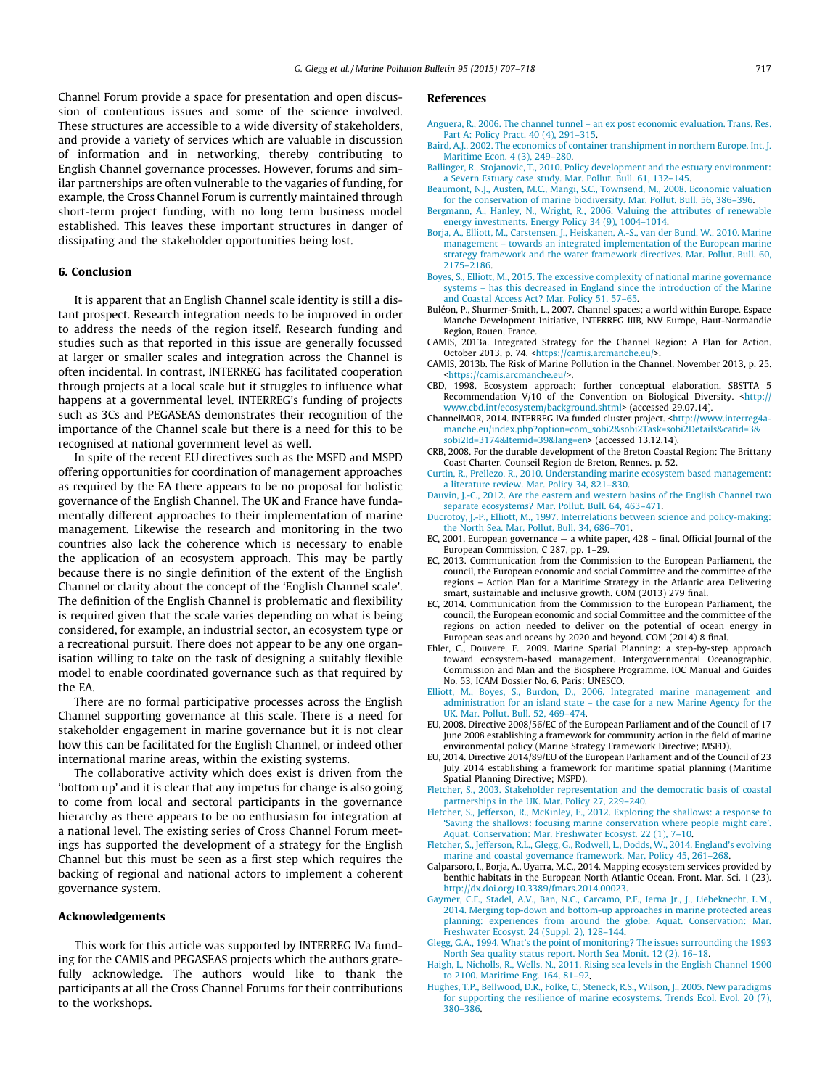<span id="page-10-0"></span>Channel Forum provide a space for presentation and open discussion of contentious issues and some of the science involved. These structures are accessible to a wide diversity of stakeholders, and provide a variety of services which are valuable in discussion of information and in networking, thereby contributing to English Channel governance processes. However, forums and similar partnerships are often vulnerable to the vagaries of funding, for example, the Cross Channel Forum is currently maintained through short-term project funding, with no long term business model established. This leaves these important structures in danger of dissipating and the stakeholder opportunities being lost.

## 6. Conclusion

It is apparent that an English Channel scale identity is still a distant prospect. Research integration needs to be improved in order to address the needs of the region itself. Research funding and studies such as that reported in this issue are generally focussed at larger or smaller scales and integration across the Channel is often incidental. In contrast, INTERREG has facilitated cooperation through projects at a local scale but it struggles to influence what happens at a governmental level. INTERREG's funding of projects such as 3Cs and PEGASEAS demonstrates their recognition of the importance of the Channel scale but there is a need for this to be recognised at national government level as well.

In spite of the recent EU directives such as the MSFD and MSPD offering opportunities for coordination of management approaches as required by the EA there appears to be no proposal for holistic governance of the English Channel. The UK and France have fundamentally different approaches to their implementation of marine management. Likewise the research and monitoring in the two countries also lack the coherence which is necessary to enable the application of an ecosystem approach. This may be partly because there is no single definition of the extent of the English Channel or clarity about the concept of the 'English Channel scale'. The definition of the English Channel is problematic and flexibility is required given that the scale varies depending on what is being considered, for example, an industrial sector, an ecosystem type or a recreational pursuit. There does not appear to be any one organisation willing to take on the task of designing a suitably flexible model to enable coordinated governance such as that required by the EA.

There are no formal participative processes across the English Channel supporting governance at this scale. There is a need for stakeholder engagement in marine governance but it is not clear how this can be facilitated for the English Channel, or indeed other international marine areas, within the existing systems.

The collaborative activity which does exist is driven from the 'bottom up' and it is clear that any impetus for change is also going to come from local and sectoral participants in the governance hierarchy as there appears to be no enthusiasm for integration at a national level. The existing series of Cross Channel Forum meetings has supported the development of a strategy for the English Channel but this must be seen as a first step which requires the backing of regional and national actors to implement a coherent governance system.

### Acknowledgements

This work for this article was supported by INTERREG IVa funding for the CAMIS and PEGASEAS projects which the authors gratefully acknowledge. The authors would like to thank the participants at all the Cross Channel Forums for their contributions to the workshops.

## References

- [Anguera, R., 2006. The channel tunnel an ex post economic evaluation. Trans. Res.](http://refhub.elsevier.com/S0025-326X(15)00110-1/h0005) [Part A: Policy Pract. 40 \(4\), 291–315](http://refhub.elsevier.com/S0025-326X(15)00110-1/h0005).
- [Baird, A.J., 2002. The economics of container transhipment in northern Europe. Int. J.](http://refhub.elsevier.com/S0025-326X(15)00110-1/h0015) [Maritime Econ. 4 \(3\), 249–280.](http://refhub.elsevier.com/S0025-326X(15)00110-1/h0015)
- [Ballinger, R., Stojanovic, T., 2010. Policy development and the estuary environment:](http://refhub.elsevier.com/S0025-326X(15)00110-1/h0010) [a Severn Estuary case study. Mar. Pollut. Bull. 61, 132–145.](http://refhub.elsevier.com/S0025-326X(15)00110-1/h0010)
- [Beaumont, N.J., Austen, M.C., Mangi, S.C., Townsend, M., 2008. Economic valuation](http://refhub.elsevier.com/S0025-326X(15)00110-1/h9000) [for the conservation of marine biodiversity. Mar. Pollut. Bull. 56, 386–396](http://refhub.elsevier.com/S0025-326X(15)00110-1/h9000).
- [Bergmann, A., Hanley, N., Wright, R., 2006. Valuing the attributes of renewable](http://refhub.elsevier.com/S0025-326X(15)00110-1/h0020) [energy investments. Energy Policy 34 \(9\), 1004–1014](http://refhub.elsevier.com/S0025-326X(15)00110-1/h0020).
- [Borja, A., Elliott, M., Carstensen, J., Heiskanen, A.-S., van der Bund, W., 2010. Marine](http://refhub.elsevier.com/S0025-326X(15)00110-1/h0025) [management – towards an integrated implementation of the European marine](http://refhub.elsevier.com/S0025-326X(15)00110-1/h0025) [strategy framework and the water framework directives. Mar. Pollut. Bull. 60,](http://refhub.elsevier.com/S0025-326X(15)00110-1/h0025) [2175–2186.](http://refhub.elsevier.com/S0025-326X(15)00110-1/h0025)
- [Boyes, S., Elliott, M., 2015. The excessive complexity of national marine governance](http://refhub.elsevier.com/S0025-326X(15)00110-1/h0030) [systems – has this decreased in England since the introduction of the Marine](http://refhub.elsevier.com/S0025-326X(15)00110-1/h0030) [and Coastal Access Act? Mar. Policy 51, 57–65.](http://refhub.elsevier.com/S0025-326X(15)00110-1/h0030)
- Buléon, P., Shurmer-Smith, L., 2007. Channel spaces; a world within Europe. Espace Manche Development Initiative, INTERREG IIIB, NW Europe, Haut-Normandie Region, Rouen, France.
- CAMIS, 2013a. Integrated Strategy for the Channel Region: A Plan for Action. October 2013, p. 74. <[https://camis.arcmanche.eu/>](https://camis.arcmanche.eu/)
- CAMIS, 2013b. The Risk of Marine Pollution in the Channel. November 2013, p. 25. [<https://camis.arcmanche.eu/](https://camis.arcmanche.eu/)>.
- CBD, 1998. Ecosystem approach: further conceptual elaboration. SBSTTA 5 Recommendation V/10 of the Convention on Biological Diversity. <[http://](http://www.cbd.int) [www.cbd.int/ecosystem/background.shtml](http://www.cbd.int)> (accessed 29.07.14).
- ChannelMOR, 2014. INTERREG IVa funded cluster project. <[http://www.interreg4a](http://www.interreg4a-manche.eu)[manche.eu/index.php?option=com\\_sobi2&sobi2Task=sobi2Details&catid=3&](http://www.interreg4a-manche.eu) [sobi2Id=3174&Itemid=39&lang=en>](http://www.interreg4a-manche.eu) (accessed 13.12.14).
- CRB, 2008. For the durable development of the Breton Coastal Region: The Brittany Coast Charter. Counseil Region de Breton, Rennes. p. 52.
- [Curtin, R., Prellezo, R., 2010. Understanding marine ecosystem based management:](http://refhub.elsevier.com/S0025-326X(15)00110-1/h0070) [a literature review. Mar. Policy 34, 821–830.](http://refhub.elsevier.com/S0025-326X(15)00110-1/h0070)
- [Dauvin, J.-C., 2012. Are the eastern and western basins of the English Channel two](http://refhub.elsevier.com/S0025-326X(15)00110-1/h0075) [separate ecosystems? Mar. Pollut. Bull. 64, 463–471](http://refhub.elsevier.com/S0025-326X(15)00110-1/h0075).
- [Ducrotoy, J.-P., Elliott, M., 1997. Interrelations between science and policy-making:](http://refhub.elsevier.com/S0025-326X(15)00110-1/h0080) [the North Sea. Mar. Pollut. Bull. 34, 686–701.](http://refhub.elsevier.com/S0025-326X(15)00110-1/h0080)
- EC, 2001. European governance a white paper, 428 final. Official Journal of the European Commission, C 287, pp. 1–29.
- EC, 2013. Communication from the Commission to the European Parliament, the council, the European economic and social Committee and the committee of the regions – Action Plan for a Maritime Strategy in the Atlantic area Delivering smart, sustainable and inclusive growth. COM (2013) 279 final.
- EC, 2014. Communication from the Commission to the European Parliament, the council, the European economic and social Committee and the committee of the regions on action needed to deliver on the potential of ocean energy in European seas and oceans by 2020 and beyond. COM (2014) 8 final.
- Ehler, C., Douvere, F., 2009. Marine Spatial Planning: a step-by-step approach toward ecosystem-based management. Intergovernmental Oceanographic. Commission and Man and the Biosphere Programme. IOC Manual and Guides No. 53, ICAM Dossier No. 6. Paris: UNESCO.
- [Elliott, M., Boyes, S., Burdon, D., 2006. Integrated marine management and](http://refhub.elsevier.com/S0025-326X(15)00110-1/h0105) [administration for an island state – the case for a new Marine Agency for the](http://refhub.elsevier.com/S0025-326X(15)00110-1/h0105) [UK. Mar. Pollut. Bull. 52, 469–474.](http://refhub.elsevier.com/S0025-326X(15)00110-1/h0105)
- EU, 2008. Directive 2008/56/EC of the European Parliament and of the Council of 17 June 2008 establishing a framework for community action in the field of marine environmental policy (Marine Strategy Framework Directive; MSFD).
- EU, 2014. Directive 2014/89/EU of the European Parliament and of the Council of 23 July 2014 establishing a framework for maritime spatial planning (Maritime Spatial Planning Directive; MSPD).
- [Fletcher, S., 2003. Stakeholder representation and the democratic basis of coastal](http://refhub.elsevier.com/S0025-326X(15)00110-1/h0125) [partnerships in the UK. Mar. Policy 27, 229–240](http://refhub.elsevier.com/S0025-326X(15)00110-1/h0125).
- [Fletcher, S., Jefferson, R., McKinley, E., 2012. Exploring the shallows: a response to](http://refhub.elsevier.com/S0025-326X(15)00110-1/h0130) ['Saving the shallows: focusing marine conservation where people might care'.](http://refhub.elsevier.com/S0025-326X(15)00110-1/h0130) [Aquat. Conservation: Mar. Freshwater Ecosyst. 22 \(1\), 7–10](http://refhub.elsevier.com/S0025-326X(15)00110-1/h0130).
- [Fletcher, S., Jefferson, R.L., Glegg, G., Rodwell, L., Dodds, W., 2014. England's evolving](http://refhub.elsevier.com/S0025-326X(15)00110-1/h0135) [marine and coastal governance framework. Mar. Policy 45, 261–268](http://refhub.elsevier.com/S0025-326X(15)00110-1/h0135).
- Galparsoro, I., Borja, A., Uyarra, M.C., 2014. Mapping ecosystem services provided by benthic habitats in the European North Atlantic Ocean. Front. Mar. Sci. 1 (23). [http://dx.doi.org/10.3389/fmars.2014.00023.](http://dx.doi.org/10.3389/fmars.2014.00023)
- [Gaymer, C.F., Stadel, A.V., Ban, N.C., Carcamo, P.F., Ierna Jr., J., Liebeknecht, L.M.,](http://refhub.elsevier.com/S0025-326X(15)00110-1/h0140) [2014. Merging top-down and bottom-up approaches in marine protected areas](http://refhub.elsevier.com/S0025-326X(15)00110-1/h0140) [planning: experiences from around the globe. Aquat. Conservation: Mar.](http://refhub.elsevier.com/S0025-326X(15)00110-1/h0140) [Freshwater Ecosyst. 24 \(Suppl. 2\), 128–144](http://refhub.elsevier.com/S0025-326X(15)00110-1/h0140).
- [Glegg, G.A., 1994. What's the point of monitoring? The issues surrounding the 1993](http://refhub.elsevier.com/S0025-326X(15)00110-1/h0145) [North Sea quality status report. North Sea Monit. 12 \(2\), 16–18.](http://refhub.elsevier.com/S0025-326X(15)00110-1/h0145)
- [Haigh, I., Nicholls, R., Wells, N., 2011. Rising sea levels in the English Channel 1900](http://refhub.elsevier.com/S0025-326X(15)00110-1/h0155) [to 2100. Maritime Eng. 164, 81–92.](http://refhub.elsevier.com/S0025-326X(15)00110-1/h0155)
- [Hughes, T.P., Bellwood, D.R., Folke, C., Steneck, R.S., Wilson, J., 2005. New paradigms](http://refhub.elsevier.com/S0025-326X(15)00110-1/h0160) [for supporting the resilience of marine ecosystems. Trends Ecol. Evol. 20 \(7\),](http://refhub.elsevier.com/S0025-326X(15)00110-1/h0160) [380–386](http://refhub.elsevier.com/S0025-326X(15)00110-1/h0160).